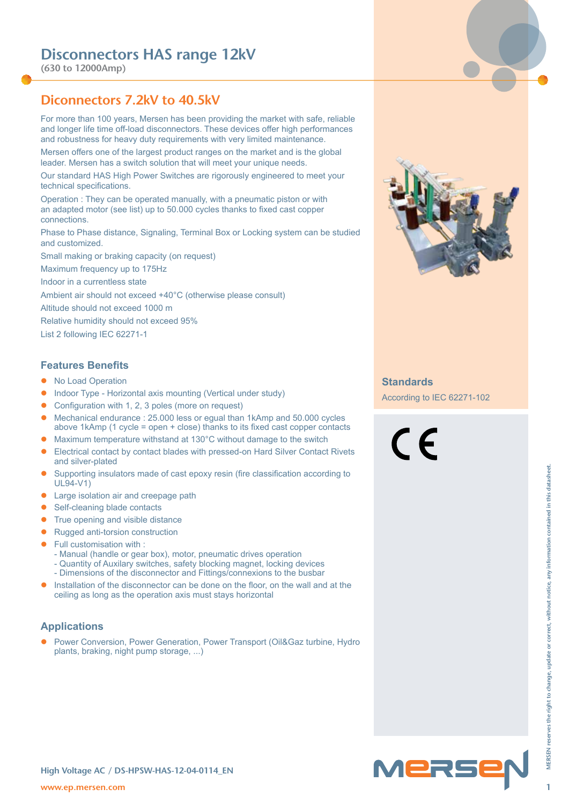**(630 to 12000Amp)**

# **Diconnectors 7.2kV to 40.5kV**

For more than 100 years, Mersen has been providing the market with safe, reliable and longer life time off-load disconnectors. These devices offer high performances and robustness for heavy duty requirements with very limited maintenance.

Mersen offers one of the largest product ranges on the market and is the global leader. Mersen has a switch solution that will meet your unique needs.

Our standard HAS High Power Switches are rigorously engineered to meet your technical specifications.

Operation : They can be operated manually, with a pneumatic piston or with an adapted motor (see list) up to 50.000 cycles thanks to fixed cast copper connections.

Phase to Phase distance, Signaling, Terminal Box or Locking system can be studied and customized.

Small making or braking capacity (on request)

Maximum frequency up to 175Hz

Indoor in a currentless state

Ambient air should not exceed +40°C (otherwise please consult)

Altitude should not exceed 1000 m

Relative humidity should not exceed 95%

List 2 following IEC 62271-1

### **Features Benefits**

- No Load Operation
- Indoor Type Horizontal axis mounting (Vertical under study)
- Configuration with 1, 2, 3 poles (more on request)
- Mechanical endurance : 25.000 less or equal than 1kAmp and 50.000 cycles above 1kAmp (1 cycle = open + close) thanks to its fixed cast copper contacts
- Maximum temperature withstand at 130°C without damage to the switch
- Electrical contact by contact blades with pressed-on Hard Silver Contact Rivets and silver-plated
- **w** Supporting insulators made of cast epoxy resin (fire classification according to<br> **We start-learning bland contacts**<br> **C** Furth company and wishe distance<br> **F** Furth contacts of the distance<br> **1** Furth contacts of the • Supporting insulators made of cast epoxy resin (fire classification according to UL94-V1)
- Large isolation air and creepage path
- Self-cleaning blade contacts
- True opening and visible distance
- $\bullet$  Rugged anti-torsion construction
- Full customisation with :
	- Manual (handle or gear box), motor, pneumatic drives operation
	- Quantity of Auxilary switches, safety blocking magnet, locking devices
	- Dimensions of the disconnector and Fittings/connexions to the busbar
- Installation of the disconnector can be done on the floor, on the wall and at the ceiling as long as the operation axis must stays horizontal

### **Applications**

Power Conversion, Power Generation, Power Transport (Oil&Gaz turbine, Hydro plants, braking, night pump storage, ...)



### **Standards**

According to IEC 62271-102

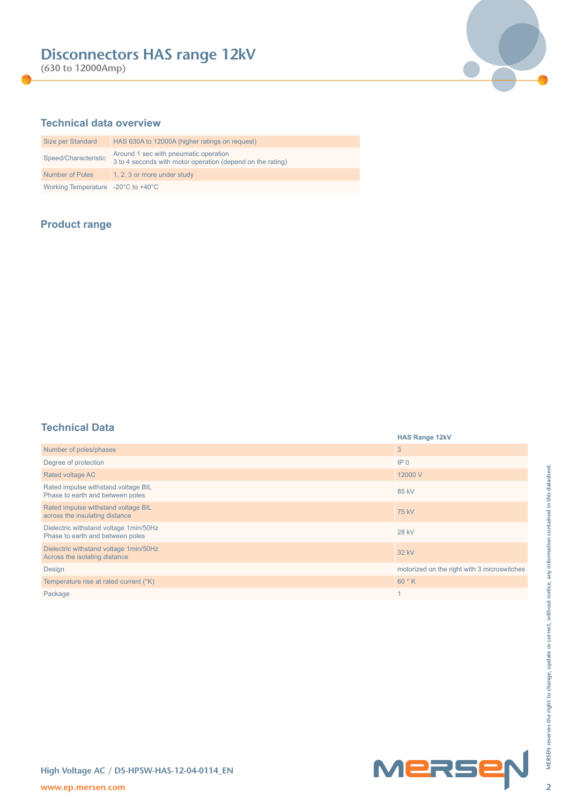**(630 to 12000Amp)**



# **Technical data overview**

| Size per Standard                                      | HAS 630A to 12000A (higher ratings on request)                                                      |
|--------------------------------------------------------|-----------------------------------------------------------------------------------------------------|
| Speed/Characteristic                                   | Around 1 sec with pneumatic operation<br>3 to 4 seconds with motor operation (depend on the rating) |
| <b>Number of Poles</b>                                 | 1, 2, 3 or more under study                                                                         |
| Working Temperature $-20^{\circ}$ C to $+40^{\circ}$ C |                                                                                                     |

# **Product range**

# **Technical Data**

| .                                                                          | <b>HAS Range 12kV</b>                       |
|----------------------------------------------------------------------------|---------------------------------------------|
| Number of poles/phases                                                     | 3                                           |
| Degree of protection                                                       | IP <sub>0</sub>                             |
| Rated voltage AC                                                           | 12000 V                                     |
| Rated impulse withstand voltage BIL<br>Phase to earth and between poles    | 85 kV                                       |
| Rated impulse withstand voltage BIL<br>across the insulating distance      | 75 kV                                       |
| Dielectric withstand voltage 1min/50Hz<br>Phase to earth and between poles | <b>28 kV</b>                                |
| Dielectric withstand voltage 1min/50Hz<br>Across the isolating distance    | 32 kV                                       |
| Design                                                                     | motorized on the right with 3 microswitches |
| Temperature rise at rated current (°K)                                     | 60°K                                        |
| Package                                                                    | $\mathbf{1}$                                |
|                                                                            |                                             |
| High Voltage AC / DS-HPSW-HAS-12-04-0114_EN<br>www.ep.mersen.com           | Mersep                                      |

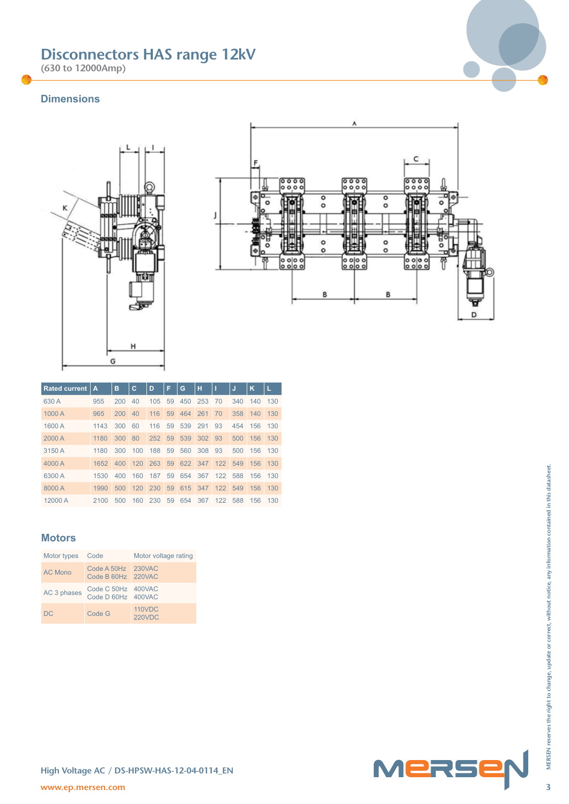**(630 to 12000Amp)**

# **Dimensions**





| <b>Rated current</b> | А    | в   | c       | D   | F | G                          | н |    | J           | κ   | L   |
|----------------------|------|-----|---------|-----|---|----------------------------|---|----|-------------|-----|-----|
| 630 A                | 955  | 200 | 40      | 105 |   | 59 450 253                 |   | 70 | 340         | 140 | 130 |
| 1000 A               | 965  | 200 | 40      |     |   | 116 59 464 261             |   | 70 | 358         | 140 | 130 |
| 1600 A               | 1143 | 300 | 60      |     |   | 116 59 539 291 93          |   |    | 454 156     |     | 130 |
| 2000 A               | 1180 | 300 | 80      |     |   | 252 59 539 302 93          |   |    | 500         | 156 | 130 |
| 3150 A               | 1180 | 300 | 100     |     |   | 188 59 560 308 93          |   |    | 500         | 156 | 130 |
| 4000 A               | 1652 | 400 |         |     |   | 120 263 59 622 347 122 549 |   |    |             | 156 | 130 |
| 6300 A               | 1530 | 400 | 160     | 187 |   | 59 654 367 122 588         |   |    |             | 156 | 130 |
| 8000 A               | 1990 | 500 |         |     |   | 120 230 59 615 347 122 549 |   |    |             | 156 | 130 |
| 12000 A              | 2100 | 500 | 160 230 |     |   | 59 654 367                 |   |    | 122 588 156 |     | 130 |

### **Motors**

| T00011                                      | 1002                              |     |        |                                |    |     |     |         |     | $\sim$ | $\overline{\phantom{0}}$ |
|---------------------------------------------|-----------------------------------|-----|--------|--------------------------------|----|-----|-----|---------|-----|--------|--------------------------|
| 6300 A                                      | 1530                              | 400 | 160    | 187                            | 59 | 654 | 367 | 122     | 588 | 156    | 130                      |
| 8000 A                                      | 1990                              | 500 | 120    | 230                            | 59 | 615 | 347 | 122     | 549 | 156    | 130                      |
| 12000 A                                     | 2100                              | 500 | 160    | 230                            | 59 | 654 | 367 | 122 588 |     | 156    | 130                      |
|                                             |                                   |     |        |                                |    |     |     |         |     |        |                          |
|                                             |                                   |     |        |                                |    |     |     |         |     |        |                          |
| <b>Motors</b>                               |                                   |     |        |                                |    |     |     |         |     |        |                          |
|                                             |                                   |     |        |                                |    |     |     |         |     |        |                          |
| Motor types                                 | Code                              |     |        | Motor voltage rating           |    |     |     |         |     |        |                          |
| <b>AC Mono</b>                              | Code A 50Hz                       |     |        | <b>230VAC</b>                  |    |     |     |         |     |        |                          |
|                                             | Code B 60Hz 220VAC                |     |        |                                |    |     |     |         |     |        |                          |
| AC 3 phases                                 | Code C 50Hz 400VAC<br>Code D 60Hz |     | 400VAC |                                |    |     |     |         |     |        |                          |
|                                             |                                   |     |        |                                |    |     |     |         |     |        |                          |
| <b>DC</b>                                   | Code G                            |     |        | <b>110VDC</b><br><b>220VDC</b> |    |     |     |         |     |        |                          |
|                                             |                                   |     |        |                                |    |     |     |         |     |        |                          |
|                                             |                                   |     |        |                                |    |     |     |         |     |        |                          |
|                                             |                                   |     |        |                                |    |     |     |         |     |        |                          |
|                                             |                                   |     |        |                                |    |     |     |         |     |        |                          |
|                                             |                                   |     |        |                                |    |     |     |         |     |        |                          |
|                                             |                                   |     |        |                                |    |     |     |         |     |        |                          |
|                                             |                                   |     |        |                                |    |     |     |         |     |        |                          |
|                                             |                                   |     |        |                                |    |     |     |         |     |        |                          |
|                                             |                                   |     |        |                                |    |     |     |         |     |        |                          |
|                                             |                                   |     |        |                                |    |     |     |         |     |        |                          |
|                                             |                                   |     |        |                                |    |     |     |         |     |        |                          |
|                                             |                                   |     |        |                                |    |     |     |         |     |        |                          |
|                                             |                                   |     |        |                                |    |     |     |         |     |        |                          |
| High Voltage AC / DS-HPSW-HAS-12-04-0114_EN |                                   |     |        |                                |    |     |     |         |     |        |                          |
| www.ep.mersen.com                           |                                   |     |        |                                |    |     |     |         |     |        |                          |



**High Voltage AC / DS-HPSW-HAS-12-04-0114\_EN**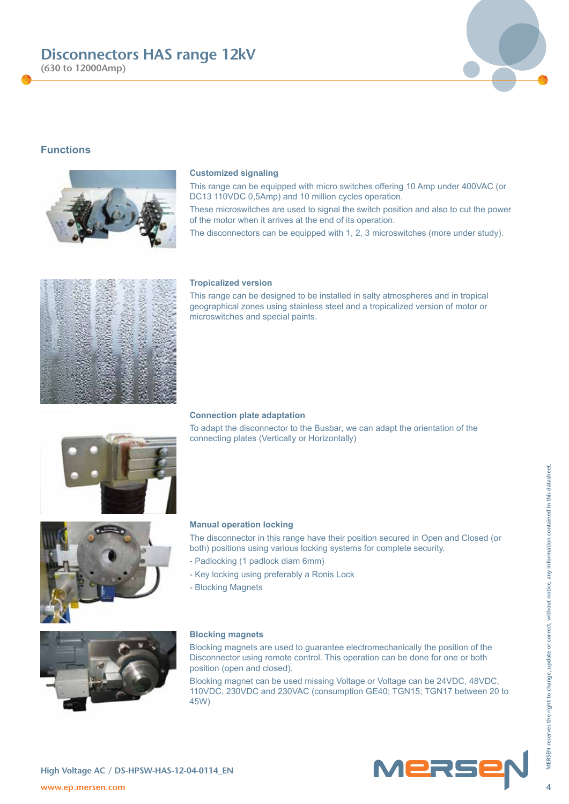**(630 to 12000Amp)**

# **Functions**

#### **Customized signaling**

This range can be equipped with micro switches offering 10 Amp under 400VAC (or DC13 110VDC 0,5Amp) and 10 million cycles operation.

These microswitches are used to signal the switch position and also to cut the power of the motor when it arrives at the end of its operation.

The disconnectors can be equipped with 1, 2, 3 microswitches (more under study).

### **Tropicalized version**

This range can be designed to be installed in salty atmospheres and in tropical geographical zones using stainless steel and a tropicalized version of motor or microswitches and special paints.

### **Connection plate adaptation**

To adapt the disconnector to the Busbar, we can adapt the orientation of the connecting plates (Vertically or Horizontally)

#### **Manual operation locking**

The disconnector in this range have their position secured in Open and Closed (or both) positions using various locking systems for complete security.

- Padlocking (1 padlock diam 6mm)
- Key locking using preferably a Ronis Lock
- Blocking Magnets

#### **Blocking magnets**

Blocking magnets are used to guarantee electromechanically the position of the Disconnector using remote control. This operation can be done for one or both position (open and closed).

Blocking magnet can be used missing Voltage or Voltage can be 24VDC, 48VDC, 110VDC, 230VDC and 230VAC (consumption GE40; TGN15; TGN17 between 20 to 45W)









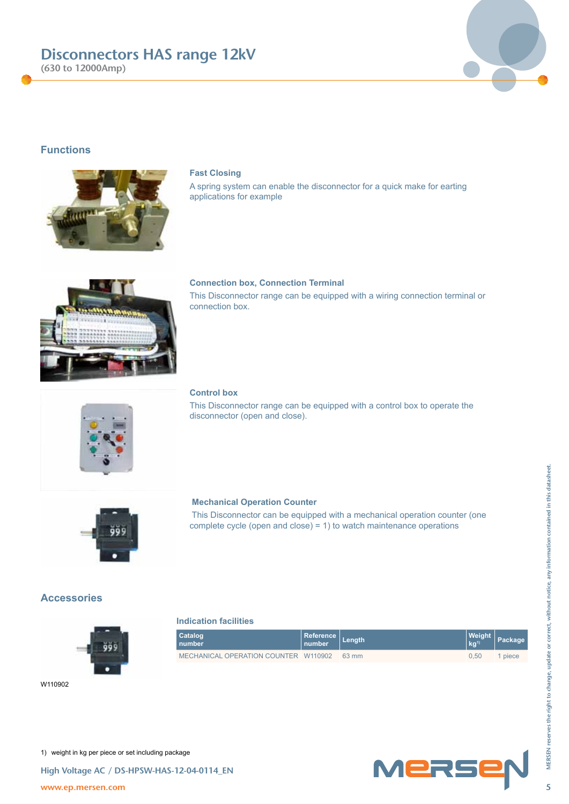

**(630 to 12000Amp)**

## **Functions**



### **Fast Closing**

A spring system can enable the disconnector for a quick make for earting applications for example



### **Connection box, Connection Terminal**

This Disconnector range can be equipped with a wiring connection terminal or connection box.

# **Control box**

**Indication facilities**

**Catalog number**

This Disconnector range can be equipped with a control box to operate the disconnector (open and close).



### **Mechanical Operation Counter**

 This Disconnector can be equipped with a mechanical operation counter (one complete cycle (open and close) = 1) to watch maintenance operations

**Reference**

MECHANICAL OPERATION COUNTER W110902 63 mm 0,50 1 piece

**number Length Weight** 

### **Accessories**







**kg1) Package**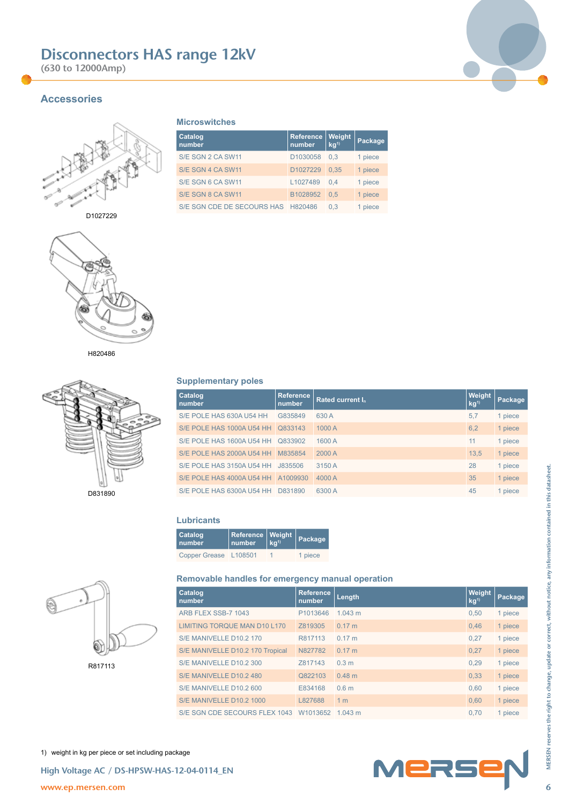**(630 to 12000Amp)**



# **Accessories**



D1027229



H820486



## **Microswitches**

| Catalog<br>number                  | <b>Reference</b><br>number. | Weight<br>kg <sup>1</sup> | Package |
|------------------------------------|-----------------------------|---------------------------|---------|
| S/E SGN 2 CA SW11                  | D1030058                    | 0.3                       | 1 piece |
| S/E SGN 4 CA SW11                  | D1027229                    | 0.35                      | 1 piece |
| S/E SGN 6 CA SW11                  | L1027489                    | 0.4                       | 1 piece |
| S/E SGN 8 CA SW11                  | B1028952                    | 0.5                       | 1 piece |
| S/E SGN CDE DE SECOURS HAS H820486 |                             | 0.3                       | 1 piece |

### **Supplementary poles**

| Catalog<br>number                   | <b>Reference</b><br>number | Rated current In | Weight<br>kg <sup>1</sup> | Package |  |  |  |  |  |  |  |
|-------------------------------------|----------------------------|------------------|---------------------------|---------|--|--|--|--|--|--|--|
| S/E POLE HAS 630A U54 HH            | G835849                    | 630 A            | 5.7                       | 1 piece |  |  |  |  |  |  |  |
| S/E POLE HAS 1000A U54 HH Q833143   |                            | 1000 A           | 6,2                       | 1 piece |  |  |  |  |  |  |  |
| S/E POLE HAS 1600A U54 HH 0833902   |                            | 1600 A           | 11                        | 1 piece |  |  |  |  |  |  |  |
| S/E POLE HAS 2000A U54 HH   M835854 |                            | 2000 A           | 13,5                      | 1 piece |  |  |  |  |  |  |  |
| S/E POLE HAS 3150A U54 HH J835506   |                            | 3150 A           | 28                        | 1 piece |  |  |  |  |  |  |  |
| S/E POLE HAS 4000A U54 HH A1009930  |                            | 4000 A           | 35                        | 1 piece |  |  |  |  |  |  |  |
| S/E POLE HAS 6300A U54 HH D831890   |                            | 6300 A           | 45                        | 1 piece |  |  |  |  |  |  |  |
|                                     |                            |                  |                           |         |  |  |  |  |  |  |  |

### **Lubricants**

| Catalog<br>number     | $\Big \begin{array}{c} \text{Reference} \text{Weight} \ \text{number} \end{array}\Big $ | Package |
|-----------------------|-----------------------------------------------------------------------------------------|---------|
| Copper Grease L108501 |                                                                                         | 1 piece |

### **Removable handles for emergency manual operation**

|         |                                                                       | S/E POLE HAS 3150A U54 HH J835506<br>3150 A |                  | 28                        | 1 piece |
|---------|-----------------------------------------------------------------------|---------------------------------------------|------------------|---------------------------|---------|
|         | S/E POLE HAS 4000A U54 HH A1009930                                    | 4000 A                                      |                  | 35                        | 1 piece |
| D831890 | S/E POLE HAS 6300A U54 HH D831890                                     | 6300 A                                      | 45               | 1 piece                   |         |
|         |                                                                       |                                             |                  |                           |         |
|         | <b>Lubricants</b>                                                     |                                             |                  |                           |         |
|         | Catalog<br>Reference<br>Weight<br>kg <sup>1</sup><br>number<br>number | Package                                     |                  |                           |         |
|         | Copper Grease L108501<br>$\overline{1}$                               | 1 piece                                     |                  |                           |         |
|         |                                                                       |                                             |                  |                           |         |
|         | Removable handles for emergency manual operation                      |                                             |                  |                           |         |
|         | Catalog<br>number                                                     | <b>Reference</b><br>number                  | Length           | Weight<br>kg <sup>1</sup> | Package |
|         | ARB FLEX SSB-7 1043                                                   | P1013646                                    | 1.043 m          | 0,50                      | 1 piece |
|         | <b>LIMITING TORQUE MAN D10 L170</b>                                   | Z819305                                     | 0.17 m           | 0,46                      | 1 piece |
|         | S/E MANIVELLE D10.2 170                                               | R817113                                     | 0.17 m           | 0,27                      | 1 piece |
|         | S/E MANIVELLE D10.2 170 Tropical                                      | N827782                                     | 0.17 m           | 0,27                      | 1 piece |
| R817113 | S/E MANIVELLE D10.2 300                                               | Z817143                                     | 0.3 <sub>m</sub> | 0,29                      | 1 piece |
|         | S/E MANIVELLE D10.2 480                                               | Q822103                                     | 0.48 m           | 0,33                      | 1 piece |
|         | S/E MANIVELLE D10.2 600                                               | E834168                                     | 0.6 <sub>m</sub> | 0,60                      | 1 piece |
|         | S/E MANIVELLE D10.2 1000                                              | L827688                                     | 1 <sub>m</sub>   | 0,60                      | 1 piece |
|         | S/E SGN CDE SECOURS FLEX 1043 W1013652 1.043 m                        |                                             |                  | 0,70                      | 1 piece |